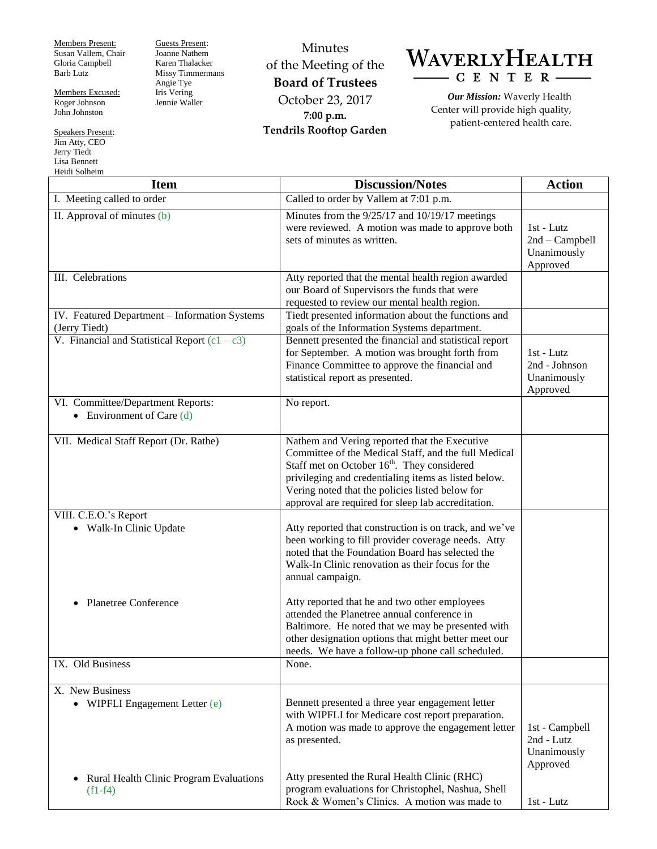Members Present: Susan Vallem, Chair Gloria Campbell Barb Lutz

Members Excused: Roger Johnson John Johnston

Speakers Present: Jim Atty, CEO Jerry Tiedt Lisa Bennett Heidi Solheim

Guests Present: Joanne Nathem Karen Thalacker Missy Timmermans Angie Tye Iris Vering Jennie Waller

Minutes of the Meeting of the **Board of Trustees** October 23, 2017 **7:00 p.m. Tendrils Rooftop Garden**



*Our Mission:* Waverly Health Center will provide high quality, patient-centered health care.

| <b>Item</b>                                                       | <b>Discussion/Notes</b>                                                                                                                                                                                                                                                                                                           | <b>Action</b>                                             |
|-------------------------------------------------------------------|-----------------------------------------------------------------------------------------------------------------------------------------------------------------------------------------------------------------------------------------------------------------------------------------------------------------------------------|-----------------------------------------------------------|
| I. Meeting called to order                                        | Called to order by Vallem at 7:01 p.m.                                                                                                                                                                                                                                                                                            |                                                           |
| II. Approval of minutes $(b)$                                     | Minutes from the 9/25/17 and 10/19/17 meetings<br>were reviewed. A motion was made to approve both<br>sets of minutes as written.                                                                                                                                                                                                 | $1st$ - Lutz<br>2nd - Campbell<br>Unanimously<br>Approved |
| III. Celebrations                                                 | Atty reported that the mental health region awarded<br>our Board of Supervisors the funds that were<br>requested to review our mental health region.                                                                                                                                                                              |                                                           |
| IV. Featured Department - Information Systems<br>(Jerry Tiedt)    | Tiedt presented information about the functions and<br>goals of the Information Systems department.                                                                                                                                                                                                                               |                                                           |
| V. Financial and Statistical Report $(c1 - c3)$                   | Bennett presented the financial and statistical report<br>for September. A motion was brought forth from<br>Finance Committee to approve the financial and<br>statistical report as presented.                                                                                                                                    | 1st - Lutz<br>2nd - Johnson<br>Unanimously<br>Approved    |
| VI. Committee/Department Reports:<br>• Environment of Care $(d)$  | No report.                                                                                                                                                                                                                                                                                                                        |                                                           |
| VII. Medical Staff Report (Dr. Rathe)                             | Nathem and Vering reported that the Executive<br>Committee of the Medical Staff, and the full Medical<br>Staff met on October 16 <sup>th</sup> . They considered<br>privileging and credentialing items as listed below.<br>Vering noted that the policies listed below for<br>approval are required for sleep lab accreditation. |                                                           |
| VIII. C.E.O.'s Report<br>• Walk-In Clinic Update                  | Atty reported that construction is on track, and we've<br>been working to fill provider coverage needs. Atty<br>noted that the Foundation Board has selected the<br>Walk-In Clinic renovation as their focus for the<br>annual campaign.                                                                                          |                                                           |
| Planetree Conference                                              | Atty reported that he and two other employees<br>attended the Planetree annual conference in<br>Baltimore. He noted that we may be presented with<br>other designation options that might better meet our<br>needs. We have a follow-up phone call scheduled.                                                                     |                                                           |
| IX. Old Business                                                  | None.                                                                                                                                                                                                                                                                                                                             |                                                           |
| X. New Business<br>• WIPFLI Engagement Letter (e)                 | Bennett presented a three year engagement letter<br>with WIPFLI for Medicare cost report preparation.<br>A motion was made to approve the engagement letter<br>as presented.                                                                                                                                                      | 1st - Campbell<br>2nd - Lutz<br>Unanimously<br>Approved   |
| Rural Health Clinic Program Evaluations<br>$\bullet$<br>$(f1-f4)$ | Atty presented the Rural Health Clinic (RHC)<br>program evaluations for Christophel, Nashua, Shell<br>Rock & Women's Clinics. A motion was made to                                                                                                                                                                                | 1st - Lutz                                                |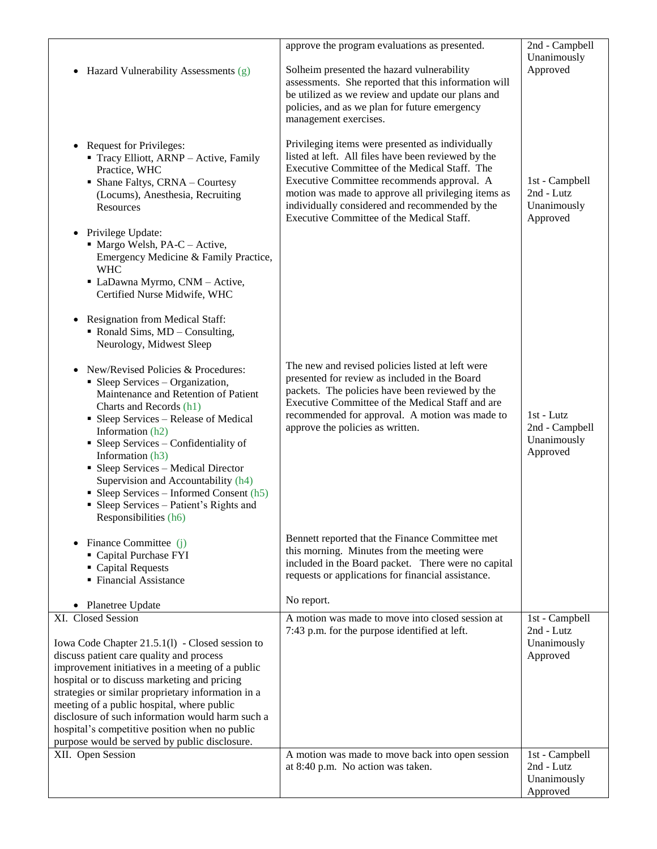|                                                                                                                                                                                                                                                                                                                                                                                                                                                                                  | approve the program evaluations as presented.                                                                                                                                                                                                                                                                   | 2nd - Campbell                                          |
|----------------------------------------------------------------------------------------------------------------------------------------------------------------------------------------------------------------------------------------------------------------------------------------------------------------------------------------------------------------------------------------------------------------------------------------------------------------------------------|-----------------------------------------------------------------------------------------------------------------------------------------------------------------------------------------------------------------------------------------------------------------------------------------------------------------|---------------------------------------------------------|
|                                                                                                                                                                                                                                                                                                                                                                                                                                                                                  |                                                                                                                                                                                                                                                                                                                 | Unanimously                                             |
| Hazard Vulnerability Assessments (g)<br>$\bullet$                                                                                                                                                                                                                                                                                                                                                                                                                                | Solheim presented the hazard vulnerability                                                                                                                                                                                                                                                                      | Approved                                                |
|                                                                                                                                                                                                                                                                                                                                                                                                                                                                                  | assessments. She reported that this information will                                                                                                                                                                                                                                                            |                                                         |
|                                                                                                                                                                                                                                                                                                                                                                                                                                                                                  | be utilized as we review and update our plans and<br>policies, and as we plan for future emergency                                                                                                                                                                                                              |                                                         |
|                                                                                                                                                                                                                                                                                                                                                                                                                                                                                  | management exercises.                                                                                                                                                                                                                                                                                           |                                                         |
|                                                                                                                                                                                                                                                                                                                                                                                                                                                                                  |                                                                                                                                                                                                                                                                                                                 |                                                         |
| <b>Request for Privileges:</b><br>$\bullet$<br>• Tracy Elliott, ARNP - Active, Family<br>Practice, WHC<br>• Shane Faltys, CRNA - Courtesy<br>(Locums), Anesthesia, Recruiting<br>Resources                                                                                                                                                                                                                                                                                       | Privileging items were presented as individually<br>listed at left. All files have been reviewed by the<br>Executive Committee of the Medical Staff. The<br>Executive Committee recommends approval. A<br>motion was made to approve all privileging items as<br>individually considered and recommended by the | 1st - Campbell<br>2nd - Lutz<br>Unanimously             |
|                                                                                                                                                                                                                                                                                                                                                                                                                                                                                  | Executive Committee of the Medical Staff.                                                                                                                                                                                                                                                                       | Approved                                                |
| • Privilege Update:<br>• Margo Welsh, PA-C - Active,<br>Emergency Medicine & Family Practice,<br><b>WHC</b><br>• LaDawna Myrmo, CNM - Active,<br>Certified Nurse Midwife, WHC                                                                                                                                                                                                                                                                                                    |                                                                                                                                                                                                                                                                                                                 |                                                         |
| <b>Resignation from Medical Staff:</b><br>$\bullet$<br>$\blacksquare$ Ronald Sims, MD – Consulting,<br>Neurology, Midwest Sleep                                                                                                                                                                                                                                                                                                                                                  |                                                                                                                                                                                                                                                                                                                 |                                                         |
| New/Revised Policies & Procedures:<br>$\bullet$<br>• Sleep Services – Organization,<br>Maintenance and Retention of Patient<br>Charts and Records (h1)<br>• Sleep Services – Release of Medical<br>Information (h2)<br>• Sleep Services – Confidentiality of<br>Information (h3)<br>• Sleep Services – Medical Director<br>Supervision and Accountability (h4)<br>• Sleep Services – Informed Consent $(h5)$<br>• Sleep Services – Patient's Rights and<br>Responsibilities (h6) | The new and revised policies listed at left were<br>presented for review as included in the Board<br>packets. The policies have been reviewed by the<br>Executive Committee of the Medical Staff and are<br>recommended for approval. A motion was made to<br>approve the policies as written.                  | 1st - Lutz<br>2nd - Campbell<br>Unanimously<br>Approved |
| Finance Committee (j)<br>Capital Purchase FYI<br>• Capital Requests<br>• Financial Assistance                                                                                                                                                                                                                                                                                                                                                                                    | Bennett reported that the Finance Committee met<br>this morning. Minutes from the meeting were<br>included in the Board packet. There were no capital<br>requests or applications for financial assistance.                                                                                                     |                                                         |
|                                                                                                                                                                                                                                                                                                                                                                                                                                                                                  |                                                                                                                                                                                                                                                                                                                 |                                                         |
| Planetree Update                                                                                                                                                                                                                                                                                                                                                                                                                                                                 | No report.                                                                                                                                                                                                                                                                                                      |                                                         |
| XI. Closed Session                                                                                                                                                                                                                                                                                                                                                                                                                                                               | A motion was made to move into closed session at                                                                                                                                                                                                                                                                | 1st - Campbell                                          |
| Iowa Code Chapter 21.5.1(1) - Closed session to<br>discuss patient care quality and process<br>improvement initiatives in a meeting of a public<br>hospital or to discuss marketing and pricing<br>strategies or similar proprietary information in a<br>meeting of a public hospital, where public<br>disclosure of such information would harm such a<br>hospital's competitive position when no public<br>purpose would be served by public disclosure.                       | 7:43 p.m. for the purpose identified at left.                                                                                                                                                                                                                                                                   | 2nd - Lutz<br>Unanimously<br>Approved                   |
| XII. Open Session                                                                                                                                                                                                                                                                                                                                                                                                                                                                | A motion was made to move back into open session                                                                                                                                                                                                                                                                | 1st - Campbell                                          |
|                                                                                                                                                                                                                                                                                                                                                                                                                                                                                  | at 8:40 p.m. No action was taken.                                                                                                                                                                                                                                                                               | 2nd - Lutz<br>Unanimously<br>Approved                   |